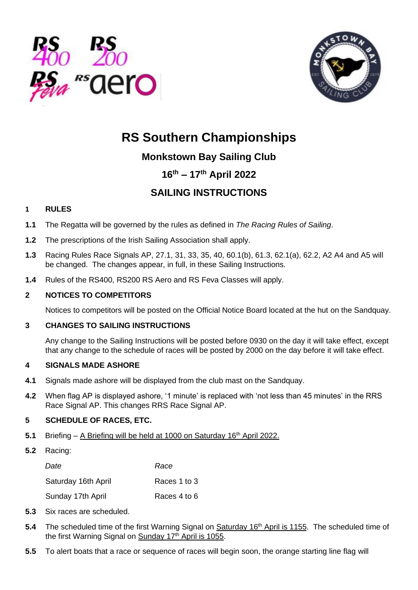



# **RS Southern Championships**

# **Monkstown Bay Sailing Club**

# **16th – 17th April 2022**

# **SAILING INSTRUCTIONS**

# **1 RULES**

- **1.1** The Regatta will be governed by the rules as defined in *The Racing Rules of Sailing*.
- **1.2** The prescriptions of the Irish Sailing Association shall apply.
- **1.3** Racing Rules Race Signals AP, 27.1, 31, 33, 35, 40, 60.1(b), 61.3, 62.1(a), 62.2, A2 A4 and A5 will be changed. The changes appear, in full, in these Sailing Instructions.
- **1.4** Rules of the RS400, RS200 RS Aero and RS Feva Classes will apply.

# **2 NOTICES TO COMPETITORS**

Notices to competitors will be posted on the Official Notice Board located at the hut on the Sandquay.

# **3 CHANGES TO SAILING INSTRUCTIONS**

Any change to the Sailing Instructions will be posted before 0930 on the day it will take effect, except that any change to the schedule of races will be posted by 2000 on the day before it will take effect.

#### **4 SIGNALS MADE ASHORE**

- **4.1** Signals made ashore will be displayed from the club mast on the Sandquay.
- **4.2** When flag AP is displayed ashore, '1 minute' is replaced with 'not less than 45 minutes' in the RRS Race Signal AP. This changes RRS Race Signal AP.

# **5 SCHEDULE OF RACES, ETC.**

- **5.1** Briefing A Briefing will be held at 1000 on Saturday 16<sup>th</sup> April 2022.
- **5.2** Racing:

| Date                | Race         |
|---------------------|--------------|
| Saturday 16th April | Races 1 to 3 |
| Sunday 17th April   | Races 4 to 6 |

- **5.3** Six races are scheduled.
- 5.4 The scheduled time of the first Warning Signal on Saturday 16<sup>th</sup> April is 1155. The scheduled time of the first Warning Signal on Sunday 17<sup>th</sup> April is 1055.
- **5.5** To alert boats that a race or sequence of races will begin soon, the orange starting line flag will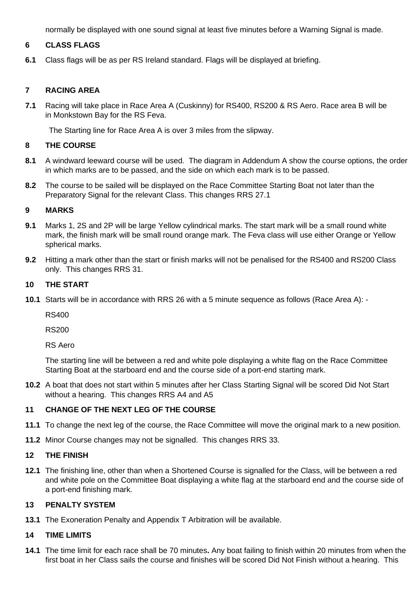normally be displayed with one sound signal at least five minutes before a Warning Signal is made.

#### **6 CLASS FLAGS**

**6.1** Class flags will be as per RS Ireland standard. Flags will be displayed at briefing.

#### **7 RACING AREA**

**7.1** Racing will take place in Race Area A (Cuskinny) for RS400, RS200 & RS Aero. Race area B will be in Monkstown Bay for the RS Feva.

The Starting line for Race Area A is over 3 miles from the slipway.

#### **8 THE COURSE**

- **8.1** A windward leeward course will be used. The diagram in Addendum A show the course options, the order in which marks are to be passed, and the side on which each mark is to be passed.
- **8.2** The course to be sailed will be displayed on the Race Committee Starting Boat not later than the Preparatory Signal for the relevant Class. This changes RRS 27.1

#### **9 MARKS**

- **9.1** Marks 1, 2S and 2P will be large Yellow cylindrical marks. The start mark will be a small round white mark, the finish mark will be small round orange mark. The Feva class will use either Orange or Yellow spherical marks.
- **9.2** Hitting a mark other than the start or finish marks will not be penalised for the RS400 and RS200 Class only. This changes RRS 31.

#### **10 THE START**

**10.1** Starts will be in accordance with RRS 26 with a 5 minute sequence as follows (Race Area A): -

RS400

RS200

RS Aero

The starting line will be between a red and white pole displaying a white flag on the Race Committee Starting Boat at the starboard end and the course side of a port-end starting mark.

**10.2** A boat that does not start within 5 minutes after her Class Starting Signal will be scored Did Not Start without a hearing. This changes RRS A4 and A5

#### **11 CHANGE OF THE NEXT LEG OF THE COURSE**

- **11.1** To change the next leg of the course, the Race Committee will move the original mark to a new position.
- **11.2** Minor Course changes may not be signalled. This changes RRS 33.

#### **12 THE FINISH**

**12.1** The finishing line, other than when a Shortened Course is signalled for the Class, will be between a red and white pole on the Committee Boat displaying a white flag at the starboard end and the course side of a port-end finishing mark.

#### **13 PENALTY SYSTEM**

**13.1** The Exoneration Penalty and Appendix T Arbitration will be available.

#### **14 TIME LIMITS**

**14.1** The time limit for each race shall be 70 minutes**.** Any boat failing to finish within 20 minutes from when the first boat in her Class sails the course and finishes will be scored Did Not Finish without a hearing. This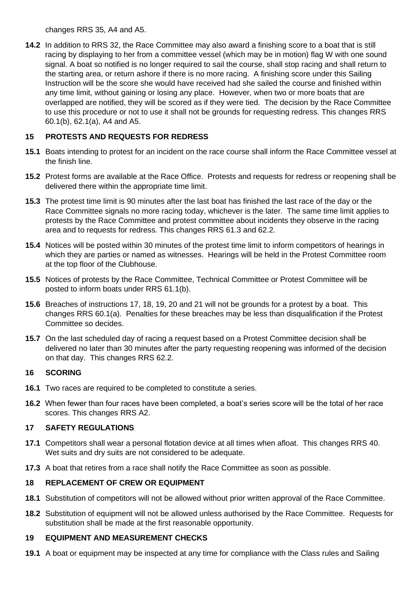changes RRS 35, A4 and A5.

**14.2** In addition to RRS 32, the Race Committee may also award a finishing score to a boat that is still racing by displaying to her from a committee vessel (which may be in motion) flag W with one sound signal. A boat so notified is no longer required to sail the course, shall stop racing and shall return to the starting area, or return ashore if there is no more racing. A finishing score under this Sailing Instruction will be the score she would have received had she sailed the course and finished within any time limit, without gaining or losing any place. However, when two or more boats that are overlapped are notified, they will be scored as if they were tied. The decision by the Race Committee to use this procedure or not to use it shall not be grounds for requesting redress. This changes RRS 60.1(b), 62.1(a), A4 and A5.

# **15 PROTESTS AND REQUESTS FOR REDRESS**

- **15.1** Boats intending to protest for an incident on the race course shall inform the Race Committee vessel at the finish line.
- **15.2** Protest forms are available at the Race Office. Protests and requests for redress or reopening shall be delivered there within the appropriate time limit.
- **15.3** The protest time limit is 90 minutes after the last boat has finished the last race of the day or the Race Committee signals no more racing today, whichever is the later. The same time limit applies to protests by the Race Committee and protest committee about incidents they observe in the racing area and to requests for redress. This changes RRS 61.3 and 62.2.
- **15.4** Notices will be posted within 30 minutes of the protest time limit to inform competitors of hearings in which they are parties or named as witnesses. Hearings will be held in the Protest Committee room at the top floor of the Clubhouse.
- **15.5** Notices of protests by the Race Committee, Technical Committee or Protest Committee will be posted to inform boats under RRS 61.1(b).
- **15.6** Breaches of instructions 17, 18, 19, 20 and 21 will not be grounds for a protest by a boat. This changes RRS 60.1(a). Penalties for these breaches may be less than disqualification if the Protest Committee so decides.
- **15.7** On the last scheduled day of racing a request based on a Protest Committee decision shall be delivered no later than 30 minutes after the party requesting reopening was informed of the decision on that day. This changes RRS 62.2.

# **16 SCORING**

- **16.1** Two races are required to be completed to constitute a series.
- **16.2** When fewer than four races have been completed, a boat's series score will be the total of her race scores. This changes RRS A2.

# **17 SAFETY REGULATIONS**

- **17.1** Competitors shall wear a personal flotation device at all times when afloat. This changes RRS 40. Wet suits and dry suits are not considered to be adequate.
- **17.3** A boat that retires from a race shall notify the Race Committee as soon as possible.

# **18 REPLACEMENT OF CREW OR EQUIPMENT**

- **18.1** Substitution of competitors will not be allowed without prior written approval of the Race Committee.
- **18.2** Substitution of equipment will not be allowed unless authorised by the Race Committee. Requests for substitution shall be made at the first reasonable opportunity.

# **19 EQUIPMENT AND MEASUREMENT CHECKS**

**19.1** A boat or equipment may be inspected at any time for compliance with the Class rules and Sailing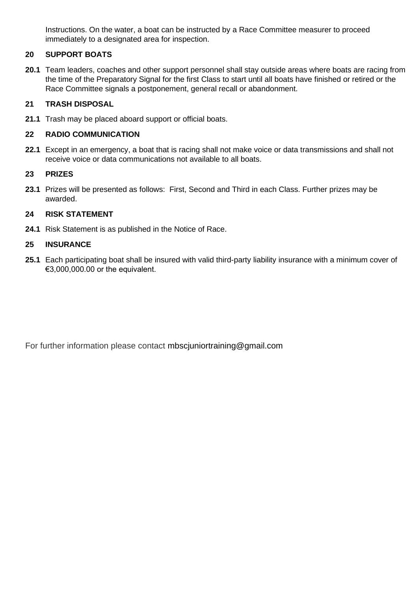Instructions. On the water, a boat can be instructed by a Race Committee measurer to proceed immediately to a designated area for inspection.

# **20 SUPPORT BOATS**

**20.1** Team leaders, coaches and other support personnel shall stay outside areas where boats are racing from the time of the Preparatory Signal for the first Class to start until all boats have finished or retired or the Race Committee signals a postponement, general recall or abandonment.

#### **21 TRASH DISPOSAL**

**21.1** Trash may be placed aboard support or official boats.

#### **22 RADIO COMMUNICATION**

**22.1** Except in an emergency, a boat that is racing shall not make voice or data transmissions and shall not receive voice or data communications not available to all boats.

#### **23 PRIZES**

**23.1** Prizes will be presented as follows: First, Second and Third in each Class. Further prizes may be awarded.

#### **24 RISK STATEMENT**

**24.1** Risk Statement is as published in the Notice of Race.

#### **25 INSURANCE**

**25.1** Each participating boat shall be insured with valid third-party liability insurance with a minimum cover of €3,000,000.00 or the equivalent.

For further information please contact [mbscjuniortraining@gmail.com](mailto:mbscjuniortraining@gmail.com)